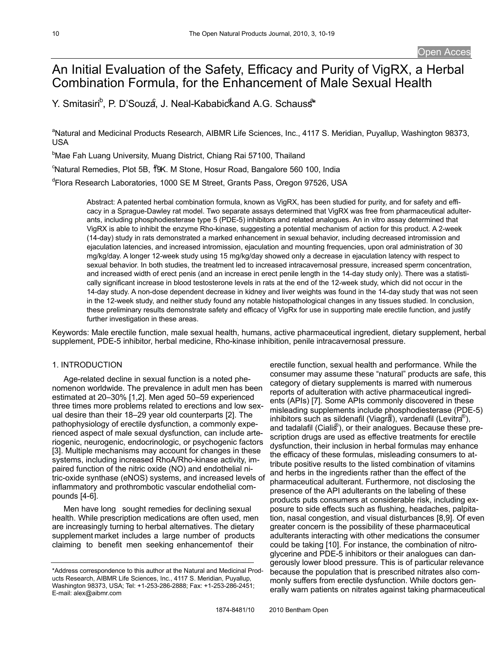# An Initial Evaluation of the Safety, Efficacy and Purity of VigRX, a Herbal Combination Formula, for the Enhancement of Male Sexual Health

Y. Smitasiri<sup>b</sup>, P. D'Souzá, J. Neal-Kababickand A.G. Schauss<sup>a</sup>

<sup>a</sup>Natural and Medicinal Products Research, AIBMR Life Sciences, Inc., 4117 S. Meridian, Puyallup, Washington 98373, USA

<sup>b</sup>Mae Fah Luang University, Muang District, Chiang Rai 57100, Thailand

<sup>c</sup>Natural Remedies, Plot 5B, <sup>†</sup>9K. M Stone, Hosur Road, Bangalore 560 100, India

<sup>d</sup>Flora Research Laboratories, 1000 SE M Street, Grants Pass, Oregon 97526, USA

Abstract: A patented herbal combination formula, known as VigRX, has been studied for purity, and for safety and efficacy in a Sprague-Dawley rat model. Two separate assays determined that VigRX was free from pharmaceutical adulterants, including phosphodiesterase type 5 (PDE-5) inhibitors and related analogues. An in vitro assay determined that VigRX is able to inhibit the enzyme Rho-kinase, suggesting a potential mechanism of action for this product. A 2-week (14-day) study in rats demonstrated a marked enhancement in sexual behavior, including decreased intromission and ejaculation latencies, and increased intromission, ejaculation and mounting frequencies, upon oral administration of 30 mg/kg/day. A longer 12-week study using 15 mg/kg/day showed only a decrease in ejaculation latency with respect to sexual behavior. In both studies, the treatment led to increased intracavernosal pressure, increased sperm concentration, and increased width of erect penis (and an increase in erect penile length in the 14-day study only). There was a statistically significant increase in blood testosterone levels in rats at the end of the 12-week study, which did not occur in the 14-day study. A non-dose dependent decrease in kidney and liver weights was found in the 14-day study that was not seen in the 12-week study, and neither study found any notable histopathological changes in any tissues studied. In conclusion, these preliminary results demonstrate safety and efficacy of VigRx for use in supporting male erectile function, and justify further investigation in these areas.

Keywords: Male erectile function, male sexual health, humans, active pharmaceutical ingredient, dietary supplement, herbal supplement, PDE-5 inhibitor, herbal medicine, Rho-kinase inhibition, penile intracavernosal pressure.

# 1. INTRODUCTION

Age-related decline in sexual function is a noted phenomenon worldwide. The prevalence in adult men has been estimated at 20–30% [1,2]. Men aged 50–59 experienced three times more problems related to erections and low sexual desire than their 18–29 year old counterparts [2]. The pathophysiology of erectile dysfunction, a commonly experienced aspect of male sexual dysfunction, can include arteriogenic, neurogenic, endocrinologic, or psychogenic factors [3]. Multiple mechanisms may account for changes in these systems, including increased RhoA/Rho-kinase activity, impaired function of the nitric oxide (NO) and endothelial nitric-oxide synthase (eNOS) systems, and increased levels of inflammatory and prothrombotic vascular endothelial compounds [4-6].

Men have long sought remedies for declining sexual health. While prescription medications are often used, men are increasingly turning to herbal alternatives. The dietary supplement market includes a large number of products claiming to benefit men seeking enhancementof their

erectile function, sexual health and performance. While the consumer may assume these "natural" products are safe, this category of dietary supplements is marred with numerous reports of adulteration with active pharmaceutical ingredients (APIs) [7]. Some APIs commonly discovered in these misleading supplements include phosphodiesterase (PDE-5) inhibitors such as sildenafil (Viagra), vardenafil (Levitra®), and tadalafil (Cialis ® ), or their analogues. Because these prescription drugs are used as effective treatments for erectile dysfunction, their inclusion in herbal formulas may enhance the efficacy of these formulas, misleading consumers to attribute positive results to the listed combination of vitamins and herbs in the ingredients rather than the effect of the pharmaceutical adulterant. Furthermore, not disclosing the presence of the API adulterants on the labeling of these products puts consumers at considerable risk, including exposure to side effects such as flushing, headaches, palpitation, nasal congestion, and visual disturbances [8,9]. Of even greater concern is the possibility of these pharmaceutical adulterants interacting with other medications the consumer could be taking [10]. For instance, the combination of nitroglycerine and PDE-5 inhibitors or their analogues can dangerously lower blood pressure. This is of particular relevance because the population that is prescribed nitrates also commonly suffers from erectile dysfunction. While doctors generally warn patients on nitrates against taking pharmaceutical

<sup>\*</sup>Address correspondence to this author at the Natural and Medicinal Products Research, AIBMR Life Sciences, Inc., 4117 S. Meridian, Puyallup, Washington 98373, USA; Tel: +1-253-286-2888; Fax: +1-253-286-2451; E-mail: alex@aibmr.com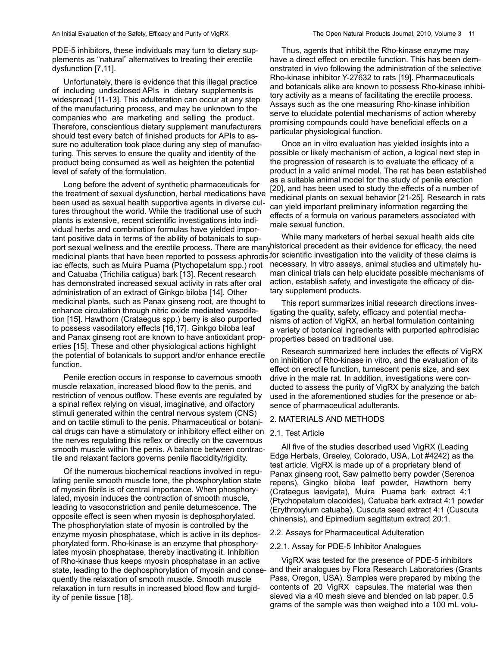PDE-5 inhibitors, these individuals may turn to dietary supplements as "natural" alternatives to treating their erectile dysfunction [7,11].

Unfortunately, there is evidence that this illegal practice of including undisclosed APIs in dietary supplementsis widespread [11-13]. This adulteration can occur at any step of the manufacturing process, and may be unknown to the companies who are marketing and selling the product. Therefore, conscientious dietary supplement manufacturers should test every batch of finished products for APIs to assure no adulteration took place during any step of manufacturing. This serves to ensure the quality and identity of the product being consumed as well as heighten the potential level of safety of the formulation.

Long before the advent of synthetic pharmaceuticals for the treatment of sexual dysfunction, herbal medications have been used as sexual health supportive agents in diverse cultures throughout the world. While the traditional use of such plants is extensive, recent scientific investigations into individual herbs and combination formulas have yielded important positive data in terms of the ability of botanicals to support sexual wellness and the erectile process. There are manyhistorical precedent as their evidence for efficacy, the need medicinal plants that have been reported to possess aphrodis<sup>for</sup> scientific investigation into the validity of these claims is iac effects, such as Muira Puama (Ptychopetalum spp.) root and Catuaba (Trichilia catigua) bark [13]. Recent research has demonstrated increased sexual activity in rats after oral administration of an extract of Ginkgo biloba [14]. Other medicinal plants, such as Panax ginseng root, are thought to enhance circulation through nitric oxide mediated vasodilation [15]. Hawthorn (Crataegus spp.) berry is also purported to possess vasodilatory effects [16,17]. Ginkgo biloba leaf and Panax ginseng root are known to have antioxidant properties [15]. These and other physiological actions highlight the potential of botanicals to support and/or enhance erectile function.

Penile erection occurs in response to cavernous smooth muscle relaxation, increased blood flow to the penis, and restriction of venous outflow. These events are regulated by a spinal reflex relying on visual, imaginative, and olfactory stimuli generated within the central nervous system (CNS) and on tactile stimuli to the penis. Pharmaceutical or botanical drugs can have a stimulatory or inhibitory effect either on 2.1. Test Article the nerves regulating this reflex or directly on the cavernous smooth muscle within the penis. A balance between contractile and relaxant factors governs penile flaccidity/rigidity.

Of the numerous biochemical reactions involved in regulating penile smooth muscle tone, the phosphorylation state of myosin fibrils is of central importance. When phosphorylated, myosin induces the contraction of smooth muscle, leading to vasoconstriction and penile detumescence. The opposite effect is seen when myosin is dephosphorylated. The phosphorylation state of myosin is controlled by the enzyme myosin phosphatase, which is active in its dephosphorylated form. Rho-kinase is an enzyme that phosphorylates myosin phosphatase, thereby inactivating it. Inhibition of Rho-kinase thus keeps myosin phosphatase in an active quently the relaxation of smooth muscle. Smooth muscle relaxation in turn results in increased blood flow and turgidity of penile tissue [18].

Thus, agents that inhibit the Rho-kinase enzyme may have a direct effect on erectile function. This has been demonstrated in vivo following the administration of the selective Rho-kinase inhibitor Y-27632 to rats [19]. Pharmaceuticals and botanicals alike are known to possess Rho-kinase inhibitory activity as a means of facilitating the erectile process. Assays such as the one measuring Rho-kinase inhibition serve to elucidate potential mechanisms of action whereby promising compounds could have beneficial effects on a particular physiological function.

Once an in vitro evaluation has yielded insights into a possible or likely mechanism of action, a logical next step in the progression of research is to evaluate the efficacy of a product in a valid animal model. The rat has been established as a suitable animal model for the study of penile erection [20], and has been used to study the effects of a number of medicinal plants on sexual behavior [21-25]. Research in rats can yield important preliminary information regarding the effects of a formula on various parameters associated with male sexual function.

While many marketers of herbal sexual health aids cite necessary. In vitro assays, animal studies and ultimately human clinical trials can help elucidate possible mechanisms of action, establish safety, and investigate the efficacy of dietary supplement products.

This report summarizes initial research directions investigating the quality, safety, efficacy and potential mechanisms of action of VigRX, an herbal formulation containing a variety of botanical ingredients with purported aphrodisiac properties based on traditional use.

Research summarized here includes the effects of VigRX on inhibition of Rho-kinase in vitro, and the evaluation of its effect on erectile function, tumescent penis size, and sex drive in the male rat. In addition, investigations were conducted to assess the purity of VigRX by analyzing the batch used in the aforementioned studies for the presence or absence of pharmaceutical adulterants.

#### 2. MATERIALS AND METHODS

All five of the studies described used VigRX (Leading Edge Herbals, Greeley, Colorado, USA, Lot #4242) as the test article. VigRX is made up of a proprietary blend of Panax ginseng root, Saw palmetto berry powder (Serenoa repens), Gingko biloba leaf powder, Hawthorn berry (Crataegus laevigata), Muira Puama bark extract 4:1 (Ptychopetalum olacoides), Catuaba bark extract 4:1 powder (Erythroxylum catuaba), Cuscuta seed extract 4:1 (Cuscuta chinensis), and Epimedium sagittatum extract 20:1.

#### 2.2. Assays for Pharmaceutical Adulteration

#### 2.2.1. Assay for PDE-5 Inhibitor Analogues

state, leading to the dephosphorylation of myosin and conse-and their analogues by Flora Research Laboratories (Grants VigRX was tested for the presence of PDE-5 inhibitors Pass, Oregon, USA). Samples were prepared by mixing the contents of 20 VigRX capsules.The material was then sieved via a 40 mesh sieve and blended on lab paper. 0.5 grams of the sample was then weighed into a 100 mL volu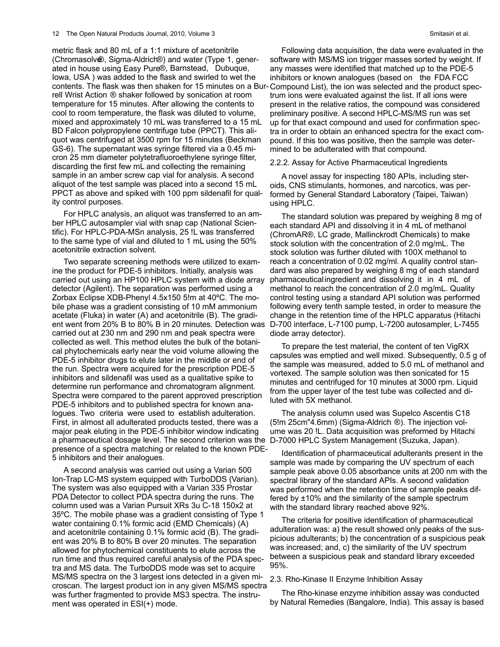metric flask and 80 mL of a 1:1 mixture of acetonitrile (Chromasolve®, Sigma-Aldrich®) and water (Type 1, generated in house using Easy Pure®, Barnstead, Dubuque, Iowa, USA ) was added to the flask and swirled to wet the rell Wrist Action ® shaker followed by sonication at room temperature for 15 minutes. After allowing the contents to cool to room temperature, the flask was diluted to volume, mixed and approximately 10 mL was transferred to a 15 mL BD Falcon polypropylene centrifuge tube (PPCT). This aliquot was centrifuged at 3500 rpm for 15 minutes (Beckman GS-6). The supernatant was syringe filtered via a 0.45 micron 25 mm diameter polytetrafluoroethylene syringe filter, discarding the first few mL and collecting the remaining sample in an amber screw cap vial for analysis. A second aliquot of the test sample was placed into a second 15 mL PPCT as above and spiked with 100 ppm sildenafil for quality control purposes.

For HPLC analysis, an aliquot was transferred to an amber HPLC autosampler vial with snap cap (National Scientific). For HPLC-PDA-MSn analysis, 25 !L was transferred to the same type of vial and diluted to 1 mL using the 50% acetonitrile extraction solvent.

Two separate screening methods were utilized to examine the product for PDE-5 inhibitors. Initially, analysis was carried out using an HP100 HPLC system with a diode array detector (Agilent). The separation was performed using a Zorbax Eclipse XDB-Phenyl 4.5x150 5!m at 40ºC. The mobile phase was a gradient consisting of 10 mM ammonium acetate (Fluka) in water (A) and acetonitrile (B). The gradient went from 20% B to 80% B in 20 minutes. Detection was D-700 interface, L-7100 pump, L-7200 autosampler, L-7455 carried out at 230 nm and 290 nm and peak spectra were collected as well. This method elutes the bulk of the botanical phytochemicals early near the void volume allowing the PDE-5 inhibitor drugs to elute later in the middle or end of the run. Spectra were acquired for the prescription PDE-5 inhibitors and sildenafil was used as a qualitative spike to determine run performance and chromatogram alignment. Spectra were compared to the parent approved prescription PDE-5 inhibitors and to published spectra for known analogues. Two criteria were used to establish adulteration. First, in almost all adulterated products tested, there was a major peak eluting in the PDE-5 inhibitor window indicating a pharmaceutical dosage level. The second criterion was the D-7000 HPLC System Management (Suzuka, Japan). presence of a spectra matching or related to the known PDE-5 inhibitors and their analogues.

A second analysis was carried out using a Varian 500 Ion-Trap LC-MS system equipped with TurboDDS (Varian). The system was also equipped with a Varian 335 Prostar PDA Detector to collect PDA spectra during the runs. The column used was a Varian Pursuit XRs 3u C-18 150x2 at 35ºC. The mobile phase was a gradient consisting of Type 1 water containing 0.1% formic acid (EMD Chemicals) (A) and acetonitrile containing 0.1% formic acid (B). The gradient was 20% B to 80% B over 20 minutes. The separation allowed for phytochemical constituents to elute across the run time and thus required careful analysis of the PDA spectra and MS data. The TurboDDS mode was set to acquire MS/MS spectra on the 3 largest ions detected in a given microscan. The largest product ion in any given MS/MS spectra was further fragmented to provide MS3 spectra. The instrument was operated in ESI(+) mode.

contents. The flask was then shaken for 15 minutes on a Bur-Compound List), the ion was selected and the product spec-Following data acquisition, the data were evaluated in the software with MS/MS ion trigger masses sorted by weight. If any masses were identified that matched up to the PDE-5 inhibitors or known analogues (based on the FDA FCC trum ions were evaluated against the list. If all ions were present in the relative ratios, the compound was considered preliminary positive. A second HPLC-MS/MS run was set up for that exact compound and used for confirmation spectra in order to obtain an enhanced spectra for the exact compound. If this too was positive, then the sample was determined to be adulterated with that compound.

#### 2.2.2. Assay for Active Pharmaceutical Ingredients

A novel assay for inspecting 180 APIs, including steroids, CNS stimulants, hormones, and narcotics, was performed by General Standard Laboratory (Taipei, Taiwan) using HPLC.

The standard solution was prepared by weighing 8 mg of each standard API and dissolving it in 4 mL of methanol (ChromAR®, LC grade, Mallinckrodt Chemicals) to make stock solution with the concentration of 2.0 mg/mL. The stock solution was further diluted with 100X methanol to reach a concentration of 0.02 mg/ml. A quality control standard was also prepared by weighing 8 mg of each standard pharmaceutical ingredient and dissolving it in 4 mL of methanol to reach the concentration of 2.0 mg/mL. Quality control testing using a standard API solution was performed following every tenth sample tested, in order to measure the change in the retention time of the HPLC apparatus (Hitachi diode array detector).

To prepare the test material, the content of ten VigRX capsules was emptied and well mixed. Subsequently, 0.5 g of the sample was measured, added to 5.0 mL of methanol and vortexed. The sample solution was then sonicated for 15 minutes and centrifuged for 10 minutes at 3000 rpm. Liquid from the upper layer of the test tube was collected and diluted with 5X methanol.

The analysis column used was Supelco Ascentis C18 (5!m 25cm"4.6mm) (Sigma-Aldrich ®). The injection volume was 20 !L. Data acquisition was preformed by Hitachi

Identification of pharmaceutical adulterants present in the sample was made by comparing the UV spectrum of each sample peak above 0.05 absorbance units at 200 nm with the spectral library of the standard APIs. A second validation was performed when the retention time of sample peaks differed by ±10% and the similarity of the sample spectrum with the standard library reached above 92%.

The criteria for positive identification of pharmaceutical adulteration was: a) the result showed only peaks of the suspicious adulterants; b) the concentration of a suspicious peak was increased; and, c) the similarity of the UV spectrum between a suspicious peak and standard library exceeded 95%.

#### 2.3. Rho-Kinase II Enzyme Inhibition Assay

The Rho-kinase enzyme inhibition assay was conducted by Natural Remedies (Bangalore, India). This assay is based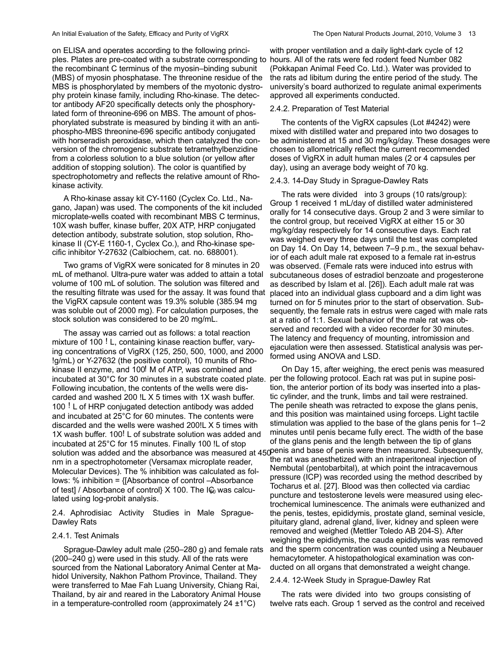on ELISA and operates according to the following principles. Plates are pre-coated with a substrate corresponding to hours. All of the rats were fed rodent feed Number 082 the recombinant C terminus of the myosin–binding subunit (MBS) of myosin phosphatase. The threonine residue of the MBS is phosphorylated by members of the myotonic dystrophy protein kinase family, including Rho-kinase. The detector antibody AF20 specifically detects only the phosphorylated form of threonine-696 on MBS. The amount of phosphorylated substrate is measured by binding it with an antiphospho-MBS threonine-696 specific antibody conjugated with horseradish peroxidase, which then catalyzed the conversion of the chromogenic substrate tetramethylbenzidine from a colorless solution to a blue solution (or yellow after addition of stopping solution). The color is quantified by spectrophotometry and reflects the relative amount of Rhokinase activity.

A Rho-kinase assay kit CY-1160 (Cyclex Co. Ltd., Nagano, Japan) was used. The components of the kit included microplate-wells coated with recombinant MBS C terminus, 10X wash buffer, kinase buffer, 20X ATP, HRP conjugated detection antibody, substrate solution, stop solution, Rhokinase II (CY-E 1160-1, Cyclex Co.), and Rho-kinase specific inhibitor Y-27632 (Calbiochem, cat. no. 688001).

Two grams of VigRX were sonicated for 8 minutes in 20 mL of methanol. Ultra-pure water was added to attain a total volume of 100 mL of solution. The solution was filtered and the resulting filtrate was used for the assay. It was found that the VigRX capsule content was 19.3% soluble (385.94 mg was soluble out of 2000 mg). For calculation purposes, the stock solution was considered to be 20 mg/mL.

The assay was carried out as follows: a total reaction mixture of 100 ! L, containing kinase reaction buffer, varying concentrations of VigRX (125, 250, 500, 1000, and 2000 !g/mL) or Y-27632 (the positive control), 10 munits of Rhokinase II enzyme, and 100! M of ATP, was combined and incubated at 30°C for 30 minutes in a substrate coated plate. per the following protocol. Each rat was put in supine posi-Following incubation, the contents of the wells were discarded and washed 200 !L X 5 times with 1X wash buffer. 100 ! L of HRP conjugated detection antibody was added and incubated at 25°C for 60 minutes. The contents were discarded and the wells were washed 200!L X 5 times with 1X wash buffer. 100! L of substrate solution was added and incubated at 25°C for 15 minutes. Finally 100 !L of stop nm in a spectrophotometer (Versamax microplate reader, Molecular Devices). The % inhibition was calculated as follows: % inhibition = {[Absorbance of control –Absorbance of test] / Absorbance of control}  $X$  100. The I $\mathcal{G}_0$  was calculated using log-probit analysis.

2.4. Aphrodisiac Activity Studies in Male Sprague-Dawley Rats

#### 2.4.1. Test Animals

Sprague-Dawley adult male (250–280 g) and female rats (200–240 g) were used in this study. All of the rats were sourced from the National Laboratory Animal Center at Mahidol University, Nakhon Pathom Province, Thailand. They were transferred to Mae Fah Luang University, Chiang Rai, Thailand, by air and reared in the Laboratory Animal House in a temperature-controlled room (approximately  $24 \pm 1^{\circ}C$ )

with proper ventilation and a daily light-dark cycle of 12 (Pokkapan Animal Feed Co. Ltd.). Water was provided to the rats ad libitum during the entire period of the study. The university's board authorized to regulate animal experiments approved all experiments conducted.

#### 2.4.2. Preparation of Test Material

The contents of the VigRX capsules (Lot #4242) were mixed with distilled water and prepared into two dosages to be administered at 15 and 30 mg/kg/day. These dosages were chosen to allometrically reflect the current recommended doses of VigRX in adult human males (2 or 4 capsules per day), using an average body weight of 70 kg.

#### 2.4.3. 14-Day Study in Sprague-Dawley Rats

The rats were divided into 3 groups (10 rats/group): Group 1 received 1 mL/day of distilled water administered orally for 14 consecutive days. Group 2 and 3 were similar to the control group, but received VigRX at either 15 or 30 mg/kg/day respectively for 14 consecutive days. Each rat was weighed every three days until the test was completed on Day 14. On Day 14, between 7–9 p.m., the sexual behavior of each adult male rat exposed to a female rat in-estrus was observed. (Female rats were induced into estrus with subcutaneous doses of estradiol benzoate and progesterone as described by Islam et al. [26]). Each adult male rat was placed into an individual glass cupboard and a dim light was turned on for 5 minutes prior to the start of observation. Subsequently, the female rats in estrus were caged with male rats at a ratio of 1:1. Sexual behavior of the male rat was observed and recorded with a video recorder for 30 minutes. The latency and frequency of mounting, intromission and ejaculation were then assessed. Statistical analysis was performed using ANOVA and LSD.

solution was added and the absorbance was measured at 450 penis and base of penis were then measured. Subsequently, On Day 15, after weighing, the erect penis was measured tion, the anterior portion of its body was inserted into a plastic cylinder, and the trunk, limbs and tail were restrained. The penile sheath was retracted to expose the glans penis, and this position was maintained using forceps. Light tactile stimulation was applied to the base of the glans penis for 1–2 minutes until penis became fully erect. The width of the base of the glans penis and the length between the tip of glans the rat was anesthetized with an intraperitoneal injection of Nembutal (pentobarbital), at which point the intracavernous pressure (ICP) was recorded using the method described by Tocharus et al. [27]. Blood was then collected via cardiac puncture and testosterone levels were measured using electrochemical luminescence. The animals were euthanized and the penis, testes, epididymis, prostate gland, seminal vesicle, pituitary gland, adrenal gland, liver, kidney and spleen were removed and weighed (Mettler Toledo AB 204-S). After weighing the epididymis, the cauda epididymis was removed and the sperm concentration was counted using a Neubauer hemacytometer. A histopathological examination was conducted on all organs that demonstrated a weight change.

### 2.4.4. 12-Week Study in Sprague-Dawley Rat

The rats were divided into two groups consisting of twelve rats each. Group 1 served as the control and received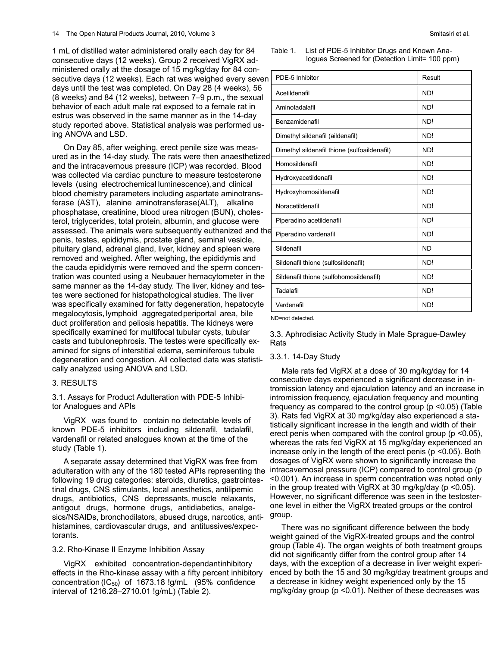1 mL of distilled water administered orally each day for 84 consecutive days (12 weeks). Group 2 received VigRX administered orally at the dosage of 15 mg/kg/day for 84 consecutive days (12 weeks). Each rat was weighed every seven days until the test was completed. On Day 28 (4 weeks), 56 (8 weeks) and 84 (12 weeks), between 7–9 p.m., the sexual behavior of each adult male rat exposed to a female rat in estrus was observed in the same manner as in the 14-day study reported above. Statistical analysis was performed using ANOVA and LSD.

On Day 85, after weighing, erect penile size was measured as in the 14-day study. The rats were then anaesthetized and the intracavernous pressure (ICP) was recorded. Blood was collected via cardiac puncture to measure testosterone levels (using electrochemical luminescence),and clinical blood chemistry parameters including aspartate aminotransferase (AST), alanine aminotransferase(ALT), alkaline phosphatase, creatinine, blood urea nitrogen (BUN), cholesterol, triglycerides, total protein, albumin, and glucose were assessed. The animals were subsequently euthanized and the penis, testes, epididymis, prostate gland, seminal vesicle, pituitary gland, adrenal gland, liver, kidney and spleen were removed and weighed. After weighing, the epididymis and the cauda epididymis were removed and the sperm concentration was counted using a Neubauer hemacytometer in the same manner as the 14-day study. The liver, kidney and testes were sectioned for histopathological studies. The liver was specifically examined for fatty degeneration, hepatocyte megalocytosis, lymphoid aggregatedperiportal area, bile duct proliferation and peliosis hepatitis. The kidneys were specifically examined for multifocal tubular cysts, tubular casts and tubulonephrosis. The testes were specifically examined for signs of interstitial edema, seminiferous tubule degeneration and congestion. All collected data was statistically analyzed using ANOVA and LSD.

#### 3. RESULTS

3.1. Assays for Product Adulteration with PDE-5 Inhibitor Analogues and APIs

VigRX was found to contain no detectable levels of known PDE-5 inhibitors including sildenafil, tadalafil, vardenafil or related analogues known at the time of the study (Table 1).

A separate assay determined that VigRX was free from adulteration with any of the 180 tested APIs representing the following 19 drug categories: steroids, diuretics, gastrointestinal drugs, CNS stimulants, local anesthetics, antilipemic drugs, antibiotics, CNS depressants, muscle relaxants, antigout drugs, hormone drugs, antidiabetics, analgesics/NSAIDs, bronchodilators, abused drugs, narcotics, antihistamines, cardiovascular drugs, and antitussives/expectorants.

#### 3.2. Rho-Kinase II Enzyme Inhibition Assay

VigRX exhibited concentration-dependantinhibitory effects in the Rho-kinase assay with a fifty percent inhibitory concentration (IC $_{50}$ ) of 1673.18 !g/mL (95% confidence interval of 1216.28–2710.01 !g/mL) (Table 2).

#### Table 1. List of PDE-5 Inhibitor Drugs and Known Analogues Screened for (Detection Limit= 100 ppm)

| PDE-5 Inhibitor                              | Result          |
|----------------------------------------------|-----------------|
| Acetildenafil                                | ND!             |
| Aminotadalafil                               | ND!             |
| Benzamidenafil                               | ND!             |
| Dimethyl sildenafil (aildenafil)             | ND!             |
| Dimethyl sildenafil thione (sulfoaildenafil) | N <sub>D!</sub> |
| Homosildenafil                               | ND!             |
| Hydroxyacetildenafil                         | ND!             |
| Hydroxyhomosildenafil                        | ND!             |
| Noracetildenafil                             | ND!             |
| Piperadino acetildenafil                     | ND!             |
| Piperadino vardenafil                        | ND!             |
| Sildenafil                                   | <b>ND</b>       |
| Sildenafil thione (sulfosildenafil)          | ND!             |
| Sildenafil thione (sulfohomosildenafil)      | ND!             |
| Tadalafil                                    | ND!             |
| Vardenafil                                   | ND!             |

ND=not detected.

3.3. Aphrodisiac Activity Study in Male Sprague-Dawley Rats

#### 3.3.1. 14-Day Study

Male rats fed VigRX at a dose of 30 mg/kg/day for 14 consecutive days experienced a significant decrease in intromission latency and ejaculation latency and an increase in intromission frequency, ejaculation frequency and mounting frequency as compared to the control group (p <0.05) (Table 3). Rats fed VigRX at 30 mg/kg/day also experienced a statistically significant increase in the length and width of their erect penis when compared with the control group (p <0.05), whereas the rats fed VigRX at 15 mg/kg/day experienced an increase only in the length of the erect penis (p <0.05). Both dosages of VigRX were shown to significantly increase the intracavernosal pressure (ICP) compared to control group (p <0.001). An increase in sperm concentration was noted only in the group treated with VigRX at 30 mg/kg/day (p <0.05). However, no significant difference was seen in the testosterone level in either the VigRX treated groups or the control group.

There was no significant difference between the body weight gained of the VigRX-treated groups and the control group (Table 4). The organ weights of both treatment groups did not significantly differ from the control group after 14 days, with the exception of a decrease in liver weight experienced by both the 15 and 30 mg/kg/day treatment groups and a decrease in kidney weight experienced only by the 15 mg/kg/day group (p <0.01). Neither of these decreases was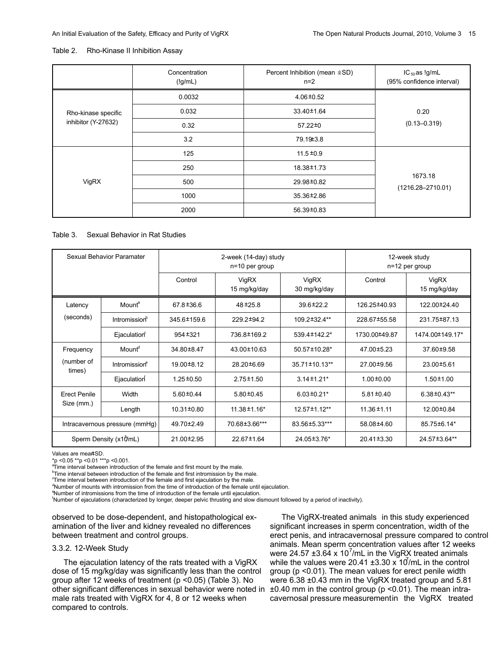#### Table 2. Rho-Kinase II Inhibition Assay

|                                            | Concentration<br>(lg/mL) | Percent Inhibition (mean $\pm$ SD)<br>$n=2$ | $IC_{50}$ as !g/mL<br>(95% confidence interval) |  |
|--------------------------------------------|--------------------------|---------------------------------------------|-------------------------------------------------|--|
|                                            | 0.0032                   | $4.06 \pm 0.52$                             |                                                 |  |
| Rho-kinase specific<br>inhibitor (Y-27632) | 0.032                    | 33.40±1.64                                  | 0.20                                            |  |
|                                            | 0.32                     | 57.22±0                                     | $(0.13 - 0.319)$                                |  |
|                                            | 3.2                      | 79.19 ± 3.8                                 |                                                 |  |
| VigRX                                      | 125                      | $11.5 \pm 0.9$                              |                                                 |  |
|                                            | 250                      | 18.38±1.73                                  |                                                 |  |
|                                            | 500                      | 29.98±0.82                                  | 1673.18<br>$(1216.28 - 2710.01)$                |  |
|                                            | 1000                     | 35.36±2.86                                  |                                                 |  |
|                                            | 2000                     | 56.39±0.83                                  |                                                 |  |

#### Table 3. Sexual Behavior in Rat Studies

| Sexual Behavior Paramater |                                | 2-week (14-day) study<br>n=10 per group |                       |                       | 12-week study<br>$n=12$ per group |                       |
|---------------------------|--------------------------------|-----------------------------------------|-----------------------|-----------------------|-----------------------------------|-----------------------|
|                           |                                | Control                                 | VigRX<br>15 mg/kg/day | VigRX<br>30 mg/kg/day | Control                           | VigRX<br>15 mg/kg/day |
| Latency                   | Mount <sup>a</sup>             | 67.8 ± 36.6                             | $48 + 25.8$           | 39.6 ± 22.2           | 126.25 ±40.93                     | 122.00±24.40          |
| (seconds)                 | Intromission <sup>b</sup>      | 345.6±159.6                             | 229.2±94.2            | 109.2±32.4**          | 228.67±55.58                      | 231.75 ± 87.13        |
|                           | Ejaculation                    | $954 + 321$                             | 736.8±169.2           | 539.4 ± 142.2*        | 1730.00±49.87                     | 1474.00±149.17*       |
| Frequency                 | Mount <sup>d</sup>             | 34.80 ±8.47                             | 43.00 ± 10.63         | 50.57±10.28*          | 47.00 ± 5.23                      | 37.60 ± 9.58          |
| (number of<br>times)      | Intromission®                  | 19.00±8.12                              | 28.20±6.69            | 35.71±10.13**         | 27.00±9.56                        | 23.00±5.61            |
|                           | Ejaculation                    | $1.25 \pm 0.50$                         | $2.75 \pm 1.50$       | $3.14 \pm 1.21$ *     | $1.00 \pm 0.00$                   | $1.50 \pm 1.00$       |
| <b>Erect Penile</b>       | Width                          | $5.60 \pm 0.44$                         | $5.80 \pm 0.45$       | $6.03 \pm 0.21$ *     | $5.81 \pm 0.40$                   | $6.38 \pm 0.43**$     |
| Size (mm.)                | Length                         | 10.31±0.80                              | $11.38 \pm 1.16*$     | 12.57±1.12**          | $11.36 \pm 1.11$                  | 12.00 ± 0.84          |
|                           | Intracavernous pressure (mmHg) | 49.70±2.49                              | 70.68±3.66***         | 83.56±5.33***         | 58.08±4.60                        | 85.75±6.14*           |
|                           | Sperm Density $(x10mL)$        | 21.00 ± 2.95                            | 22.67 ± 1.64          | 24.05 ± 3.76*         | 20.41±3.30                        | 24.57 ± 3.64**        |

Values are mean±SD.

\*p <0.05 \*\*p <0.01 \*\*\*p <0.001.

<sup>a</sup>Time interval between introduction of the female and first mount by the male.

<sup>b</sup> Time interval between introduction of the female and first intromission by the male.

Time interval between introduction of the female and first ejaculation by the male.

<sup>d</sup>Number of mounts with intromission from the time of introduction of the female until ejaculation.

<sup>e</sup>Number of intromissions from the time of introduction of the female until ejaculation.

<sup>f</sup>Number of ejaculations (characterized by longer, deeper pelvic thrusting and slow dismount followed by a period of inactivity).

observed to be dose-dependent, and histopathological examination of the liver and kidney revealed no differences between treatment and control groups.

# 3.3.2. 12-Week Study

The ejaculation latency of the rats treated with a VigRX dose of 15 mg/kg/day was significantly less than the control group after 12 weeks of treatment (p <0.05) (Table 3). No other significant differences in sexual behavior were noted in ±0.40 mm in the control group (p <0.01). The mean intramale rats treated with VigRX for 4, 8 or 12 weeks when compared to controls.

The VigRX-treated animals in this study experienced significant increases in sperm concentration, width of the erect penis, and intracavernosal pressure compared to control animals. Mean sperm concentration values after 12 weeks were 24.57  $\pm 3.64 \times 10^7$ /mL in the VigRX treated animals while the values were 20.41  $\pm 3.30 \times 10^{7}$ mL in the control group (p <0.01). The mean values for erect penile width were 6.38 ±0.43 mm in the VigRX treated group and 5.81 cavernosal pressure measurementin the VigRX treated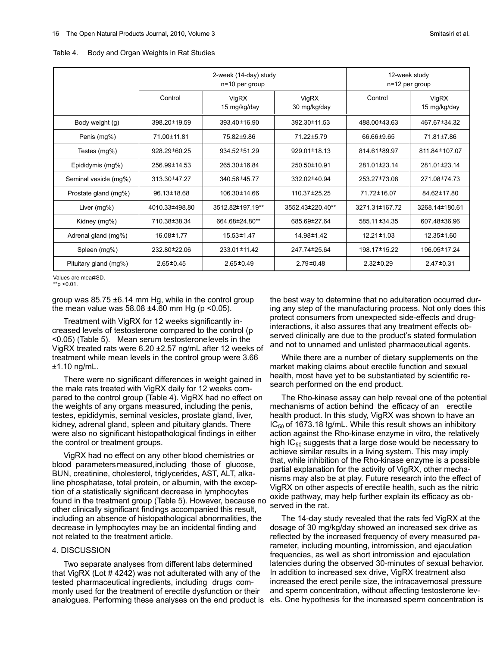|                       | 2-week (14-day) study<br>n=10 per group |                       |                       | 12-week study<br>n=12 per group |                       |  |
|-----------------------|-----------------------------------------|-----------------------|-----------------------|---------------------------------|-----------------------|--|
|                       | Control                                 | VigRX<br>15 mg/kg/day | VigRX<br>30 mg/kg/day | Control                         | VigRX<br>15 mg/kg/day |  |
| Body weight (g)       | 398.20±19.59                            | 393.40±16.90          | 392.30±11.53          | 488.00±43.63                    | 467.67±34.32          |  |
| Penis (mg%)           | 71.00 ± 11.81                           | 75.82±9.86            | 71.22±5.79            | 66.66±9.65                      | 71.81±7.86            |  |
| Testes $(mq\%)$       | 928.29±60.25                            | 934.52±51.29          | 929.01±18.13          | 814.61±89.97                    | 811.84 ± 107.07       |  |
| Epididymis (mg%)      | 256.99±14.53                            | 265.30±16.84          | 250.50±10.91          | 281.01±23.14                    | 281.01±23.14          |  |
| Seminal vesicle (mg%) | 313.30±47.27                            | 340.56±45.77          | 332.02±40.94          | 253.27±73.08                    | 271.08±74.73          |  |
| Prostate gland (mg%)  | 96.13±18.68                             | 106.30±14.66          | 110.37 ± 25.25        | 71.72±16.07                     | 84.62±17.80           |  |
| Liver $(mq\%)$        | 4010.33±498.80                          | 3512.82±197.19**      | 3552.43±220.40**      | 3271.31±167.72                  | 3268.14±180.61        |  |
| Kidney (mg%)          | 710.38±38.34                            | 664.68±24.80**        | 685.69±27.64          | 585.11 ± 34.35                  | 607.48±36.96          |  |
| Adrenal gland (mg%)   | 16.08±1.77                              | 15.53±1.47            | 14.98±1.42            | 12.21±1.03                      | 12.35 ± 1.60          |  |
| Spleen (mg%)          | 232.80±22.06                            | 233.01 ± 11.42        | 247.74±25.64          | 198.17±15.22                    | 196.05±17.24          |  |
| Pituitary gland (mg%) | $2.65 \pm 0.45$                         | $2.65 \pm 0.49$       | $2.79 \pm 0.48$       | $2.32 \pm 0.29$                 | $2.47 \pm 0.31$       |  |

Table 4. Body and Organ Weights in Rat Studies

Values are mear±SD.

\*\*p <0.01.

group was 85.75 ±6.14 mm Hg, while in the control group the mean value was  $58.08 \pm 4.60$  mm Hg (p <0.05).

Treatment with VigRX for 12 weeks significantly increased levels of testosterone compared to the control (p <0.05) (Table 5). Mean serum testosteronelevels in the VigRX treated rats were 6.20 ±2.57 ng/mL after 12 weeks of treatment while mean levels in the control group were 3.66 ±1.10 ng/mL.

There were no significant differences in weight gained in the male rats treated with VigRX daily for 12 weeks compared to the control group (Table 4). VigRX had no effect on the weights of any organs measured, including the penis, testes, epididymis, seminal vesicles, prostate gland, liver, kidney, adrenal gland, spleen and pituitary glands. There were also no significant histopathological findings in either the control or treatment groups.

VigRX had no effect on any other blood chemistries or blood parametersmeasured,including those of glucose, BUN, creatinine, cholesterol, triglycerides, AST, ALT, alkaline phosphatase, total protein, or albumin, with the exception of a statistically significant decrease in lymphocytes found in the treatment group (Table 5). However, because no other clinically significant findings accompanied this result, including an absence of histopathological abnormalities, the decrease in lymphocytes may be an incidental finding and not related to the treatment article.

# 4. DISCUSSION

Two separate analyses from different labs determined that VigRX (Lot # 4242) was not adulterated with any of the tested pharmaceutical ingredients, including drugs commonly used for the treatment of erectile dysfunction or their analogues. Performing these analyses on the end product is

the best way to determine that no adulteration occurred during any step of the manufacturing process. Not only does this protect consumers from unexpected side-effects and druginteractions, it also assures that any treatment effects observed clinically are due to the product's stated formulation and not to unnamed and unlisted pharmaceutical agents.

While there are a number of dietary supplements on the market making claims about erectile function and sexual health, most have yet to be substantiated by scientific research performed on the end product.

The Rho-kinase assay can help reveal one of the potential mechanisms of action behind the efficacy of an erectile health product. In this study, VigRX was shown to have an  $IC_{50}$  of 1673.18 !g/mL. While this result shows an inhibitory action against the Rho-kinase enzyme in vitro, the relatively high  $IC_{50}$  suggests that a large dose would be necessary to achieve similar results in a living system. This may imply that, while inhibition of the Rho-kinase enzyme is a possible partial explanation for the activity of VigRX, other mechanisms may also be at play. Future research into the effect of VigRX on other aspects of erectile health, such as the nitric oxide pathway, may help further explain its efficacy as observed in the rat.

The 14-day study revealed that the rats fed VigRX at the dosage of 30 mg/kg/day showed an increased sex drive as reflected by the increased frequency of every measured parameter, including mounting, intromission, and ejaculation frequencies, as well as short intromission and ejaculation latencies during the observed 30-minutes of sexual behavior. In addition to increased sex drive, VigRX treatment also increased the erect penile size, the intracavernosal pressure and sperm concentration, without affecting testosterone levels. One hypothesis for the increased sperm concentration is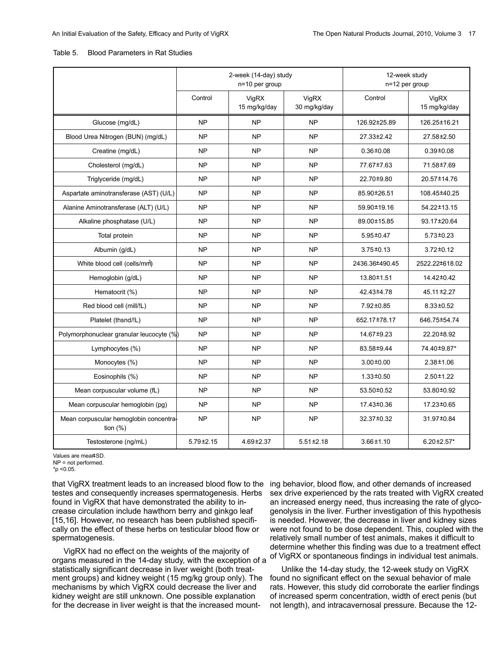| Table 5. | <b>Blood Parameters in Rat Studies</b> |  |  |
|----------|----------------------------------------|--|--|
|          |                                        |  |  |

|                                                       | 2-week (14-day) study<br>n=10 per group |                       | 12-week study<br>n=12 per group |                 |                       |
|-------------------------------------------------------|-----------------------------------------|-----------------------|---------------------------------|-----------------|-----------------------|
|                                                       | Control                                 | VigRX<br>15 mg/kg/day | VigRX<br>30 mg/kg/day           | Control         | VigRX<br>15 mg/kg/day |
| Glucose (mg/dL)                                       | <b>NP</b>                               | <b>NP</b>             | <b>NP</b>                       | 126.92±25.89    | 126.25±16.21          |
| Blood Urea Nitrogen (BUN) (mg/dL)                     | <b>NP</b>                               | <b>NP</b>             | <b>NP</b>                       | 27.33±2.42      | 27.58 ± 2.50          |
| Creatine (mg/dL)                                      | <b>NP</b>                               | <b>NP</b>             | <b>NP</b>                       | $0.36 \pm 0.08$ | $0.39 + 0.08$         |
| Cholesterol (mg/dL)                                   | <b>NP</b>                               | <b>NP</b>             | <b>NP</b>                       | 77.67±7.63      | 71.58±7.69            |
| Triglyceride (mg/dL)                                  | <b>NP</b>                               | <b>NP</b>             | <b>NP</b>                       | 22.70±9.80      | 20.57±14.76           |
| Aspartate aminotransferase (AST) (U/L)                | <b>NP</b>                               | <b>NP</b>             | <b>NP</b>                       | 85.90±26.51     | 108.45±40.25          |
| Alanine Aminotransferase (ALT) (U/L)                  | <b>NP</b>                               | <b>NP</b>             | <b>NP</b>                       | 59.90±19.16     | 54.22±13.15           |
| Alkaline phosphatase (U/L)                            | <b>NP</b>                               | <b>NP</b>             | <b>NP</b>                       | 89.00±15.85     | 93.17±20.64           |
| Total protein                                         | <b>NP</b>                               | <b>NP</b>             | <b>NP</b>                       | 5.95 ± 0.47     | $5.73 \pm 0.23$       |
| Albumin (g/dL)                                        | <b>NP</b>                               | <b>NP</b>             | <b>NP</b>                       | $3.75 \pm 0.13$ | $3.72 \pm 0.12$       |
| White blood cell (cells/mm)                           | <b>NP</b>                               | <b>NP</b>             | <b>NP</b>                       | 2436.36±490.45  | 2522.22±618.02        |
| Hemoglobin (g/dL)                                     | <b>NP</b>                               | <b>NP</b>             | <b>NP</b>                       | 13.80±1.51      | 14.42±0.42            |
| Hematocrit (%)                                        | <b>NP</b>                               | <b>NP</b>             | <b>NP</b>                       | 42.43±4.78      | 45.11 ± 2.27          |
| Red blood cell (mill/!L)                              | <b>NP</b>                               | <b>NP</b>             | <b>NP</b>                       | 7.92±0.85       | $8.33 \pm 0.52$       |
| Platelet (thsnd/!L)                                   | <b>NP</b>                               | <b>NP</b>             | <b>NP</b>                       | 652.17±78.17    | 646.75 ± 54.74        |
| Polymorphonuclear granular leucocyte (%)              | <b>NP</b>                               | <b>NP</b>             | <b>NP</b>                       | 14.67±9.23      | 22.20 ± 8.92          |
| Lymphocytes (%)                                       | <b>NP</b>                               | <b>NP</b>             | <b>NP</b>                       | 83.58±9.44      | 74.40±9.87*           |
| Monocytes (%)                                         | <b>NP</b>                               | <b>NP</b>             | <b>NP</b>                       | $3.00 \pm 0.00$ | $2.38 \pm 1.06$       |
| Eosinophils (%)                                       | <b>NP</b>                               | <b>NP</b>             | <b>NP</b>                       | $1.33 \pm 0.50$ | $2.50 \pm 1.22$       |
| Mean corpuscular volume (fL)                          | <b>NP</b>                               | <b>NP</b>             | <b>NP</b>                       | 53.50±0.52      | 53.80±0.92            |
| Mean corpuscular hemoglobin (pg)                      | <b>NP</b>                               | <b>NP</b>             | <b>NP</b>                       | 17.43±0.36      | 17.23±0.65            |
| Mean corpuscular hemoglobin concentra-<br>tion $(\%)$ | <b>NP</b>                               | <b>NP</b>             | <b>NP</b>                       | 32.37±0.32      | 31.97±0.84            |
| Testosterone (ng/mL)                                  | $5.79 \pm 2.15$                         | 4.69 ± 2.37           | $5.51 \pm 2.18$                 | $3.66 \pm 1.10$ | $6.20 \pm 2.57$ *     |

Values are meart SD.

NP = not performed.

\*p <0.05.

that VigRX treatment leads to an increased blood flow to the ing behavior, blood flow, and other demands of increased testes and consequently increases spermatogenesis. Herbs found in VigRX that have demonstrated the ability to increase circulation include hawthorn berry and ginkgo leaf [15,16]. However, no research has been published specifically on the effect of these herbs on testicular blood flow or spermatogenesis.

VigRX had no effect on the weights of the majority of organs measured in the 14-day study, with the exception of a statistically significant decrease in liver weight (both treatment groups) and kidney weight (15 mg/kg group only). The mechanisms by which VigRX could decrease the liver and kidney weight are still unknown. One possible explanation for the decrease in liver weight is that the increased mount-

sex drive experienced by the rats treated with VigRX created an increased energy need, thus increasing the rate of glycogenolysis in the liver. Further investigation of this hypothesis is needed. However, the decrease in liver and kidney sizes were not found to be dose dependent. This, coupled with the relatively small number of test animals, makes it difficult to determine whether this finding was due to a treatment effect of VigRX or spontaneous findings in individual test animals.

Unlike the 14-day study, the 12-week study on VigRX found no significant effect on the sexual behavior of male rats. However, this study did corroborate the earlier findings of increased sperm concentration, width of erect penis (but not length), and intracavernosal pressure. Because the 12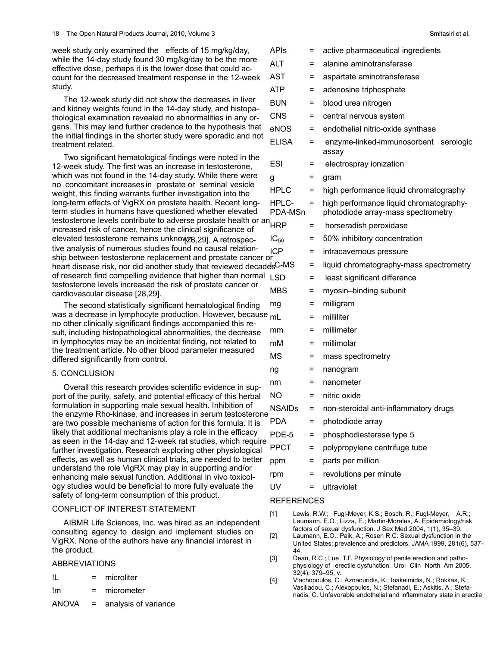week study only examined the effects of 15 mg/kg/day, while the 14-day study found 30 mg/kg/day to be the more effective dose, perhaps it is the lower dose that could account for the decreased treatment response in the 12-week study.

The 12-week study did not show the decreases in liver and kidney weights found in the 14-day study, and histopathological examination revealed no abnormalities in any organs. This may lend further credence to the hypothesis that the initial findings in the shorter study were sporadic and not treatment related.

Two significant hematological findings were noted in the 12-week study. The first was an increase in testosterone, which was not found in the 14-day study. While there were no concomitant increases in prostate or seminal vesicle weight, this finding warrants further investigation into the long-term effects of VigRX on prostate health. Recent longterm studies in humans have questioned whether elevated testosterone levels contribute to adverse prostate health or an increased risk of cancer, hence the clinical significance of elevated testosterone remains unknow[28,29]. A retrospective analysis of numerous studies found no causal relationtive analysis of numerous studies found no causal relation-<br>ship between testosterone replacement and prostate cancer or heart disease risk, nor did another study that reviewed decades of research find compelling evidence that higher than normal testosterone levels increased the risk of prostate cancer or cardiovascular disease [28,29].

The second statistically significant hematological finding was a decrease in lymphocyte production. However, because m no other clinically significant findings accompanied this result, including histopathological abnormalities, the decrease in lymphocytes may be an incidental finding, not related to the treatment article. No other blood parameter measured differed significantly from control.

# 5. CONCLUSION

Overall this research provides scientific evidence in support of the purity, safety, and potential efficacy of this herbal formulation in supporting male sexual health. Inhibition of the enzyme Rho-kinase, and increases in serum testosterone  $\degree$ <br>are two possible mechanisms of action for this formula. It is are two possible mechanisms of action for this formula. It is likely that additional mechanisms play a role in the efficacy as seen in the 14-day and 12-week rat studies, which require further investigation. Research exploring other physiological effects, as well as human clinical trials, are needed to better understand the role VigRX may play in supporting and/or enhancing male sexual function. Additional in vivo toxicology studies would be beneficial to more fully evaluate the safety of long-term consumption of this product.

# CONFLICT OF INTEREST STATEMENT

AIBMR Life Sciences, Inc. was hired as an independent consulting agency to design and implement studies on VigRX. None of the authors have any financial interest in the product.

# ABBREVIATIONS

| Ш | microliter |
|---|------------|
|   |            |

- !m = micrometer
- ANOVA = analysis of variance

| APIs                     | = | active pharmaceutical ingredients                                             |
|--------------------------|---|-------------------------------------------------------------------------------|
| AL T                     | = | alanine aminotransferase                                                      |
| AST                      | = | aspartate aminotransferase                                                    |
| ATP                      | = | adenosine triphosphate                                                        |
| BUN                      | = | blood urea nitrogen                                                           |
| CNS                      | = | central nervous system                                                        |
| eNOS                     | = | endothelial nitric-oxide synthase                                             |
| ELISA                    | = | enzyme-linked-immunosorbent<br>serologic<br>assay                             |
| ESI                      | = | electrospray ionization                                                       |
| g                        | = | gram                                                                          |
| <b>HPLC</b>              | = | high performance liquid chromatography                                        |
| HPLC-<br>PDA-MSn         | Ξ | high performance liquid chromatography-<br>photodiode array-mass spectrometry |
| HRP                      | Ξ | horseradish peroxidase                                                        |
| IC $_{50}$               | = | 50% inhibitory concentration                                                  |
| <b>ICP</b>               | Ξ | intracavernous pressure                                                       |
| <u>i<sub>s</sub>C-MS</u> | = | liquid chromatography-mass spectrometry                                       |
| LSD                      | Ξ | least significant difference                                                  |
| MBS                      | = | myosin-binding subunit                                                        |
| mg                       | = | milligram                                                                     |
| mL                       | = | milliliter                                                                    |
| mm                       | = | millimeter                                                                    |
| mM                       | = | millimolar                                                                    |
| ΜS                       | = | mass spectrometry                                                             |
| ng                       | = | nanogram                                                                      |
| nm                       | = | nanometer                                                                     |
| NΟ                       | = | nitric oxide                                                                  |
| NSAIDs                   | = | non-steroidal anti-inflammatory drugs                                         |
| PDA                      | = | photodiode array                                                              |
| PDE-5                    | Ξ | phosphodiesterase type 5                                                      |
| <b>PPCT</b>              | = | polypropylene centrifuge tube                                                 |
| ppm                      | Ξ | parts per million                                                             |
| rpm                      | = | revolutions per minute                                                        |
| UV                       | = | ultraviolet                                                                   |

# **REFERENCES**

- [1] Lewis, R.W.; Fugl-Meyer, K.S.; Bosch, R.; Fugl-Meyer, A.R.; Laumann, E.O.; Lizza, E.; Martin-Morales, A. Epidemiology/risk factors of sexual dysfunction. J Sex Med 2004, 1(1), 35–39.
- [2] Laumann, E.O.; Paik, A.; Rosen R.C. Sexual dysfunction in the United States: prevalence and predictors. JAMA 1999, 281(6), 537– 44.
- [3] Dean, R.C.; Lue, T.F. Physiology of penile erection and pathophysiology of erectile dysfunction. Urol Clin North Am 2005, 32(4), 379–95, v.
- [4] Vlachopoulos, C.; Aznaouridis, K.; Ioakeimidis, N.; Rokkas, K.; Vasiliadou, C.; Alexopoulos, N.; Stefanadi, E.; Askitis, A.; Stefanadis, C. Unfavorable endothelial and inflammatory state in erectile